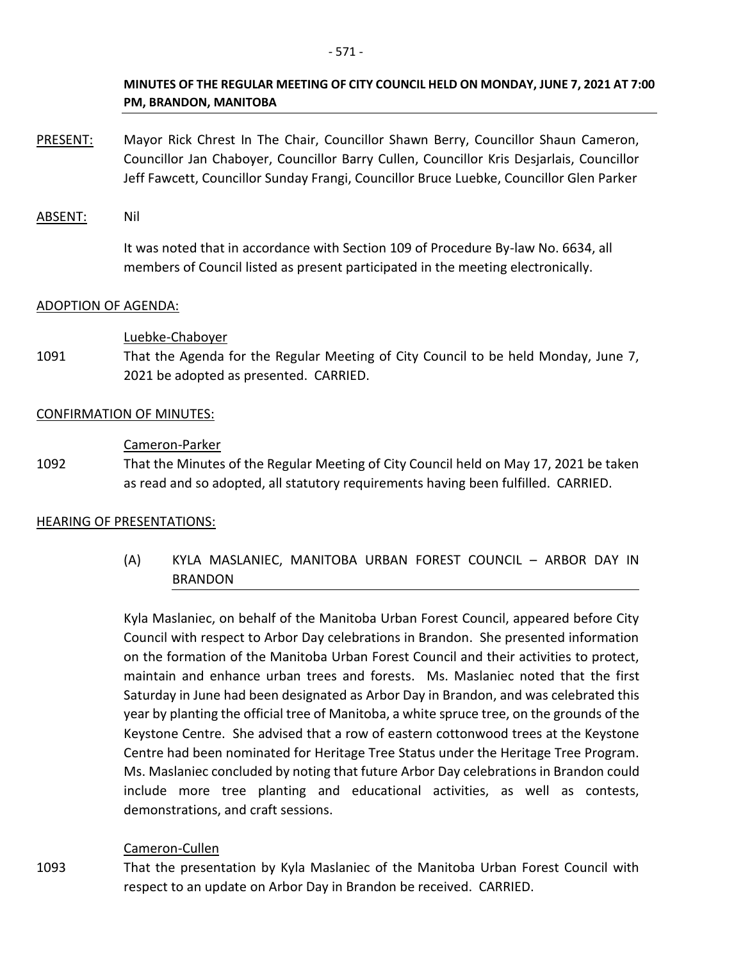- PRESENT: Mayor Rick Chrest In The Chair, Councillor Shawn Berry, Councillor Shaun Cameron, Councillor Jan Chaboyer, Councillor Barry Cullen, Councillor Kris Desjarlais, Councillor Jeff Fawcett, Councillor Sunday Frangi, Councillor Bruce Luebke, Councillor Glen Parker
- ABSENT: Nil

It was noted that in accordance with Section 109 of Procedure By-law No. 6634, all members of Council listed as present participated in the meeting electronically.

## ADOPTION OF AGENDA:

#### Luebke-Chaboyer

1091 That the Agenda for the Regular Meeting of City Council to be held Monday, June 7, 2021 be adopted as presented. CARRIED.

#### CONFIRMATION OF MINUTES:

#### Cameron-Parker

1092 That the Minutes of the Regular Meeting of City Council held on May 17, 2021 be taken as read and so adopted, all statutory requirements having been fulfilled. CARRIED.

## HEARING OF PRESENTATIONS:

(A) KYLA MASLANIEC, MANITOBA URBAN FOREST COUNCIL – ARBOR DAY IN BRANDON

Kyla Maslaniec, on behalf of the Manitoba Urban Forest Council, appeared before City Council with respect to Arbor Day celebrations in Brandon. She presented information on the formation of the Manitoba Urban Forest Council and their activities to protect, maintain and enhance urban trees and forests. Ms. Maslaniec noted that the first Saturday in June had been designated as Arbor Day in Brandon, and was celebrated this year by planting the official tree of Manitoba, a white spruce tree, on the grounds of the Keystone Centre. She advised that a row of eastern cottonwood trees at the Keystone Centre had been nominated for Heritage Tree Status under the Heritage Tree Program. Ms. Maslaniec concluded by noting that future Arbor Day celebrations in Brandon could include more tree planting and educational activities, as well as contests, demonstrations, and craft sessions.

## Cameron-Cullen

1093 That the presentation by Kyla Maslaniec of the Manitoba Urban Forest Council with respect to an update on Arbor Day in Brandon be received. CARRIED.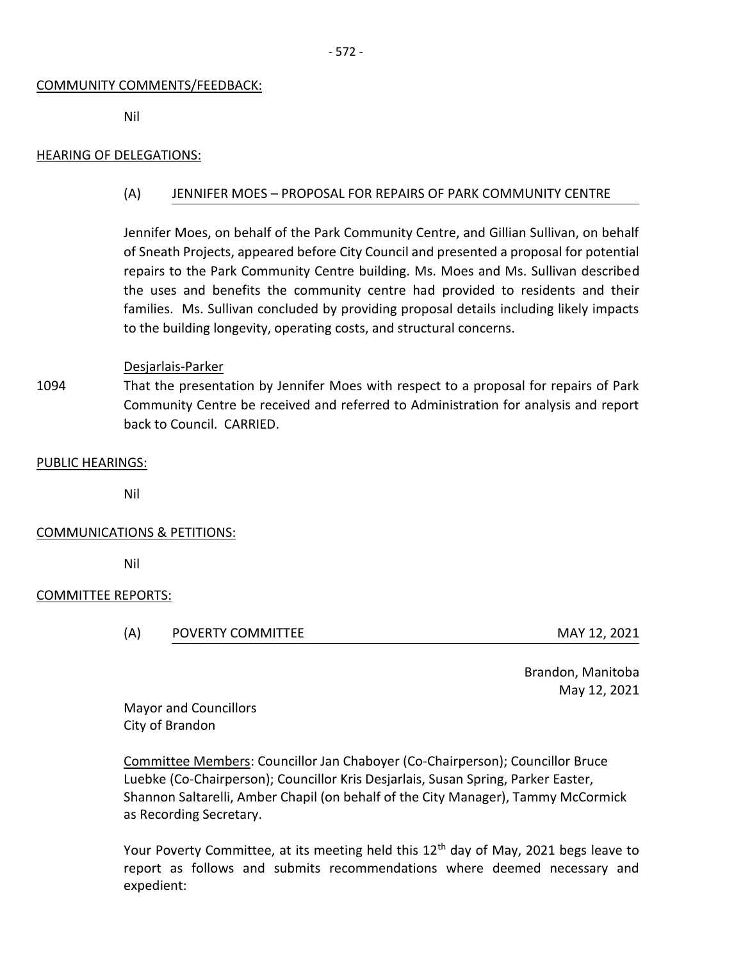#### COMMUNITY COMMENTS/FEEDBACK:

Nil

#### HEARING OF DELEGATIONS:

#### (A) JENNIFER MOES – PROPOSAL FOR REPAIRS OF PARK COMMUNITY CENTRE

Jennifer Moes, on behalf of the Park Community Centre, and Gillian Sullivan, on behalf of Sneath Projects, appeared before City Council and presented a proposal for potential repairs to the Park Community Centre building. Ms. Moes and Ms. Sullivan described the uses and benefits the community centre had provided to residents and their families. Ms. Sullivan concluded by providing proposal details including likely impacts to the building longevity, operating costs, and structural concerns.

#### Desjarlais-Parker

1094 That the presentation by Jennifer Moes with respect to a proposal for repairs of Park Community Centre be received and referred to Administration for analysis and report back to Council. CARRIED.

#### PUBLIC HEARINGS:

Nil

#### COMMUNICATIONS & PETITIONS:

Nil

#### COMMITTEE REPORTS:

(A) POVERTY COMMITTEE MAY 12, 2021

Brandon, Manitoba May 12, 2021

Mayor and Councillors City of Brandon

Committee Members: Councillor Jan Chaboyer (Co-Chairperson); Councillor Bruce Luebke (Co-Chairperson); Councillor Kris Desjarlais, Susan Spring, Parker Easter, Shannon Saltarelli, Amber Chapil (on behalf of the City Manager), Tammy McCormick as Recording Secretary.

Your Poverty Committee, at its meeting held this  $12<sup>th</sup>$  day of May, 2021 begs leave to report as follows and submits recommendations where deemed necessary and expedient: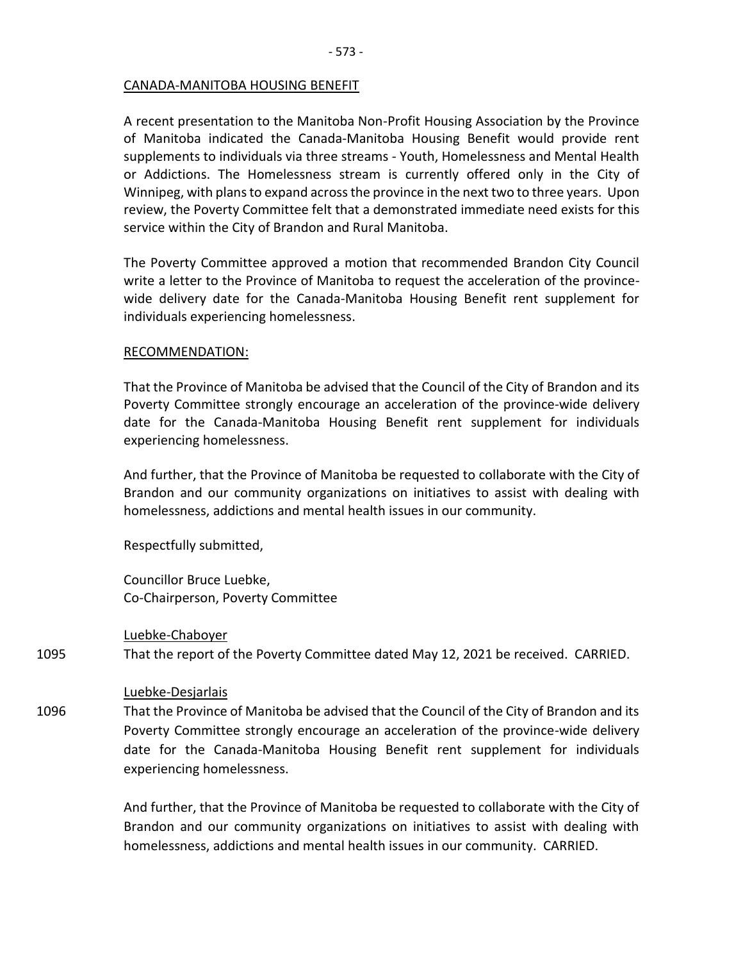# CANADA-MANITOBA HOUSING BENEFIT

A recent presentation to the Manitoba Non-Profit Housing Association by the Province of Manitoba indicated the Canada-Manitoba Housing Benefit would provide rent supplements to individuals via three streams - Youth, Homelessness and Mental Health or Addictions. The Homelessness stream is currently offered only in the City of Winnipeg, with plans to expand across the province in the next two to three years. Upon review, the Poverty Committee felt that a demonstrated immediate need exists for this service within the City of Brandon and Rural Manitoba.

The Poverty Committee approved a motion that recommended Brandon City Council write a letter to the Province of Manitoba to request the acceleration of the provincewide delivery date for the Canada-Manitoba Housing Benefit rent supplement for individuals experiencing homelessness.

# RECOMMENDATION:

That the Province of Manitoba be advised that the Council of the City of Brandon and its Poverty Committee strongly encourage an acceleration of the province-wide delivery date for the Canada-Manitoba Housing Benefit rent supplement for individuals experiencing homelessness.

And further, that the Province of Manitoba be requested to collaborate with the City of Brandon and our community organizations on initiatives to assist with dealing with homelessness, addictions and mental health issues in our community.

Respectfully submitted,

Councillor Bruce Luebke, Co-Chairperson, Poverty Committee

Luebke-Chaboyer

1095 That the report of the Poverty Committee dated May 12, 2021 be received. CARRIED.

## Luebke-Desjarlais

1096 That the Province of Manitoba be advised that the Council of the City of Brandon and its Poverty Committee strongly encourage an acceleration of the province-wide delivery date for the Canada-Manitoba Housing Benefit rent supplement for individuals experiencing homelessness.

> And further, that the Province of Manitoba be requested to collaborate with the City of Brandon and our community organizations on initiatives to assist with dealing with homelessness, addictions and mental health issues in our community. CARRIED.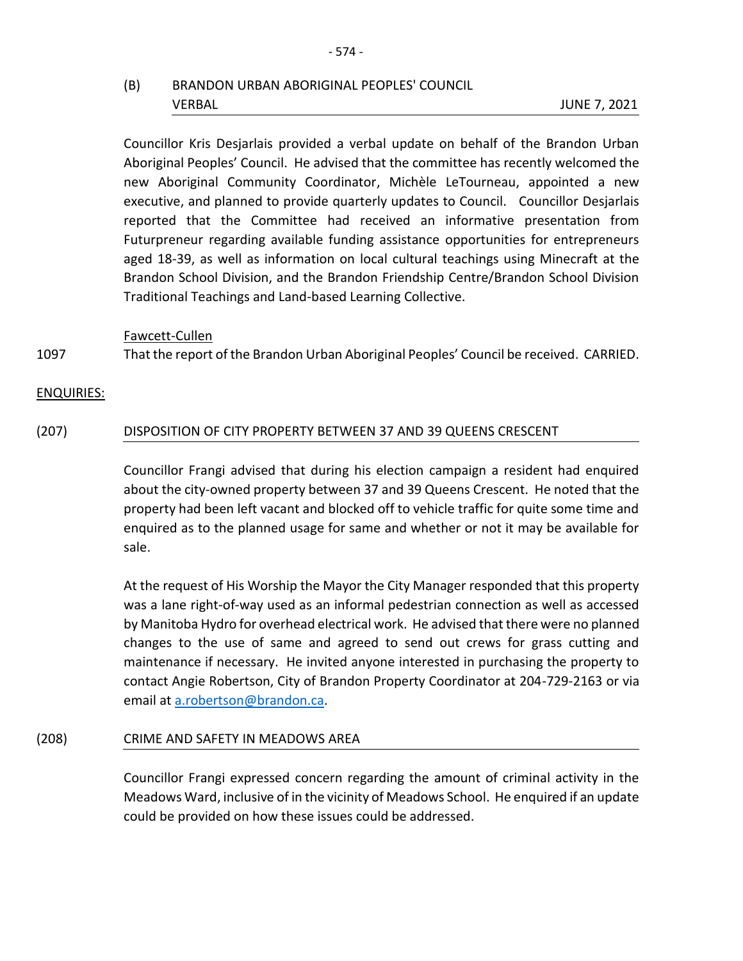# (B) BRANDON URBAN ABORIGINAL PEOPLES' COUNCIL VERBAL JUNE 7, 2021

Councillor Kris Desjarlais provided a verbal update on behalf of the Brandon Urban Aboriginal Peoples' Council. He advised that the committee has recently welcomed the new Aboriginal Community Coordinator, Michèle LeTourneau, appointed a new executive, and planned to provide quarterly updates to Council. Councillor Desjarlais reported that the Committee had received an informative presentation from Futurpreneur regarding available funding assistance opportunities for entrepreneurs aged 18-39, as well as information on local cultural teachings using Minecraft at the Brandon School Division, and the Brandon Friendship Centre/Brandon School Division Traditional Teachings and Land-based Learning Collective.

Fawcett-Cullen

1097 That the report of the Brandon Urban Aboriginal Peoples' Council be received. CARRIED.

## ENQUIRIES:

## (207) DISPOSITION OF CITY PROPERTY BETWEEN 37 AND 39 QUEENS CRESCENT

Councillor Frangi advised that during his election campaign a resident had enquired about the city-owned property between 37 and 39 Queens Crescent. He noted that the property had been left vacant and blocked off to vehicle traffic for quite some time and enquired as to the planned usage for same and whether or not it may be available for sale.

At the request of His Worship the Mayor the City Manager responded that this property was a lane right-of-way used as an informal pedestrian connection as well as accessed by Manitoba Hydro for overhead electrical work. He advised that there were no planned changes to the use of same and agreed to send out crews for grass cutting and maintenance if necessary. He invited anyone interested in purchasing the property to contact Angie Robertson, City of Brandon Property Coordinator at 204-729-2163 or via email at [a.robertson@brandon.ca.](mailto:a.robertson@brandon.ca)

## (208) CRIME AND SAFETY IN MEADOWS AREA

Councillor Frangi expressed concern regarding the amount of criminal activity in the Meadows Ward, inclusive of in the vicinity of Meadows School. He enquired if an update could be provided on how these issues could be addressed.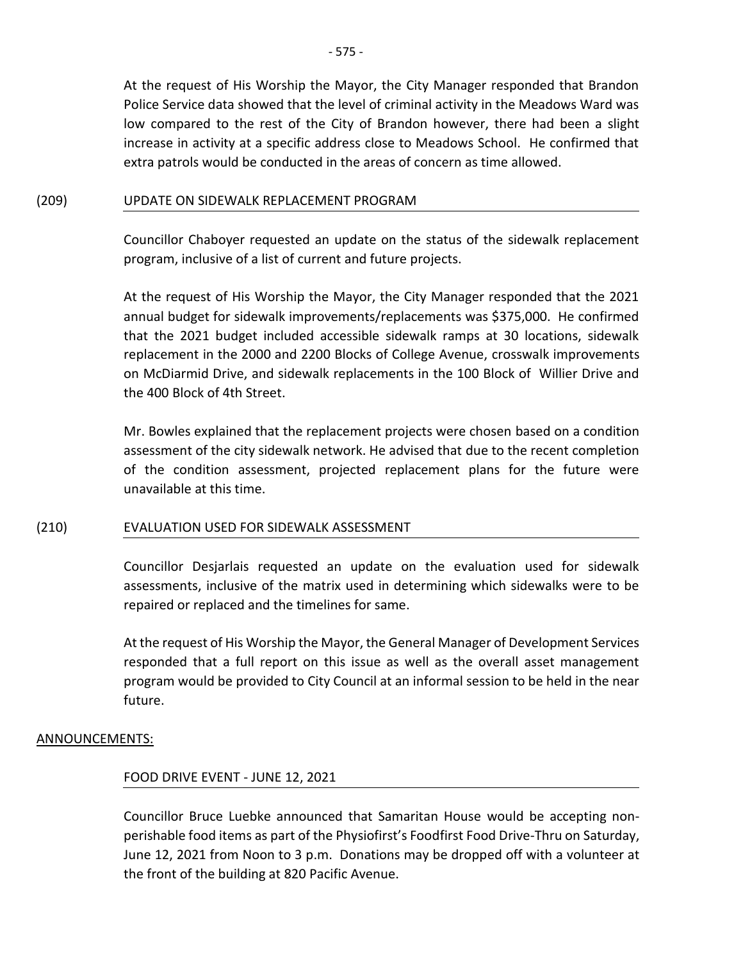At the request of His Worship the Mayor, the City Manager responded that Brandon Police Service data showed that the level of criminal activity in the Meadows Ward was low compared to the rest of the City of Brandon however, there had been a slight increase in activity at a specific address close to Meadows School. He confirmed that extra patrols would be conducted in the areas of concern as time allowed.

#### (209) UPDATE ON SIDEWALK REPLACEMENT PROGRAM

Councillor Chaboyer requested an update on the status of the sidewalk replacement program, inclusive of a list of current and future projects.

At the request of His Worship the Mayor, the City Manager responded that the 2021 annual budget for sidewalk improvements/replacements was \$375,000. He confirmed that the 2021 budget included accessible sidewalk ramps at 30 locations, sidewalk replacement in the 2000 and 2200 Blocks of College Avenue, crosswalk improvements on McDiarmid Drive, and sidewalk replacements in the 100 Block of Willier Drive and the 400 Block of 4th Street.

Mr. Bowles explained that the replacement projects were chosen based on a condition assessment of the city sidewalk network. He advised that due to the recent completion of the condition assessment, projected replacement plans for the future were unavailable at this time.

## (210) EVALUATION USED FOR SIDEWALK ASSESSMENT

Councillor Desjarlais requested an update on the evaluation used for sidewalk assessments, inclusive of the matrix used in determining which sidewalks were to be repaired or replaced and the timelines for same.

At the request of His Worship the Mayor, the General Manager of Development Services responded that a full report on this issue as well as the overall asset management program would be provided to City Council at an informal session to be held in the near future.

## ANNOUNCEMENTS:

## FOOD DRIVE EVENT - JUNE 12, 2021

Councillor Bruce Luebke announced that Samaritan House would be accepting nonperishable food items as part of the Physiofirst's Foodfirst Food Drive-Thru on Saturday, June 12, 2021 from Noon to 3 p.m. Donations may be dropped off with a volunteer at the front of the building at 820 Pacific Avenue.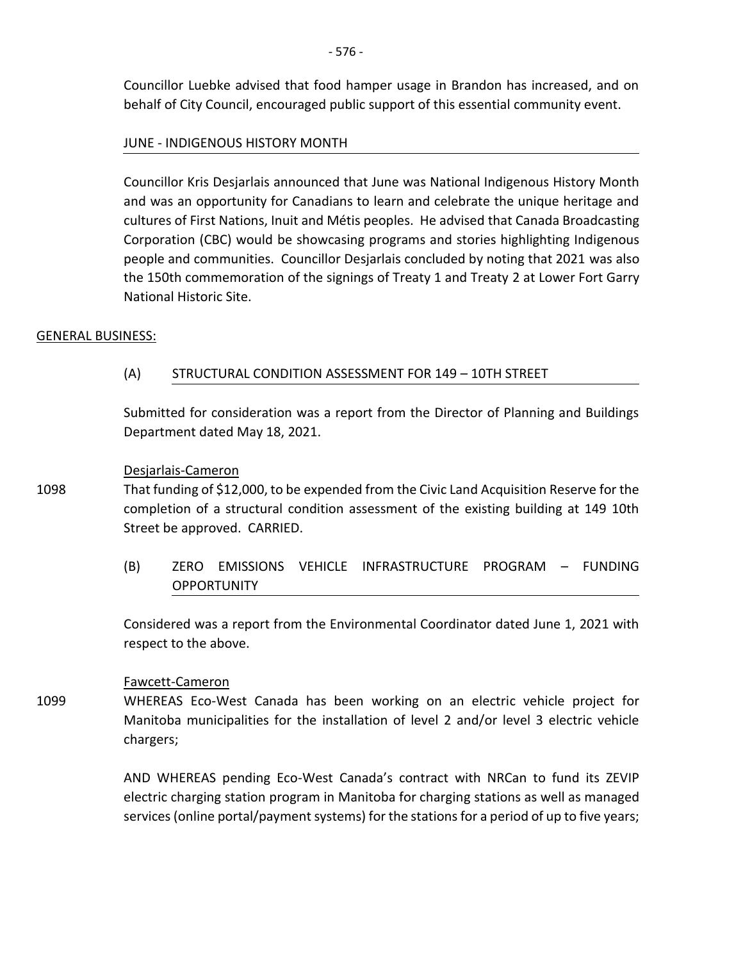Councillor Luebke advised that food hamper usage in Brandon has increased, and on behalf of City Council, encouraged public support of this essential community event.

# JUNE - INDIGENOUS HISTORY MONTH

Councillor Kris Desjarlais announced that June was National Indigenous History Month and was an opportunity for Canadians to learn and celebrate the unique heritage and cultures of First Nations, Inuit and Métis peoples. He advised that Canada Broadcasting Corporation (CBC) would be showcasing programs and stories highlighting Indigenous people and communities. Councillor Desjarlais concluded by noting that 2021 was also the 150th commemoration of the signings of Treaty 1 and Treaty 2 at Lower Fort Garry National Historic Site.

## GENERAL BUSINESS:

# (A) STRUCTURAL CONDITION ASSESSMENT FOR 149 – 10TH STREET

Submitted for consideration was a report from the Director of Planning and Buildings Department dated May 18, 2021.

#### Desjarlais-Cameron

- 1098 That funding of \$12,000, to be expended from the Civic Land Acquisition Reserve for the completion of a structural condition assessment of the existing building at 149 10th Street be approved. CARRIED.
	- (B) ZERO EMISSIONS VEHICLE INFRASTRUCTURE PROGRAM FUNDING **OPPORTUNITY**

Considered was a report from the Environmental Coordinator dated June 1, 2021 with respect to the above.

## Fawcett-Cameron

1099 WHEREAS Eco-West Canada has been working on an electric vehicle project for Manitoba municipalities for the installation of level 2 and/or level 3 electric vehicle chargers;

> AND WHEREAS pending Eco-West Canada's contract with NRCan to fund its ZEVIP electric charging station program in Manitoba for charging stations as well as managed services (online portal/payment systems) for the stations for a period of up to five years;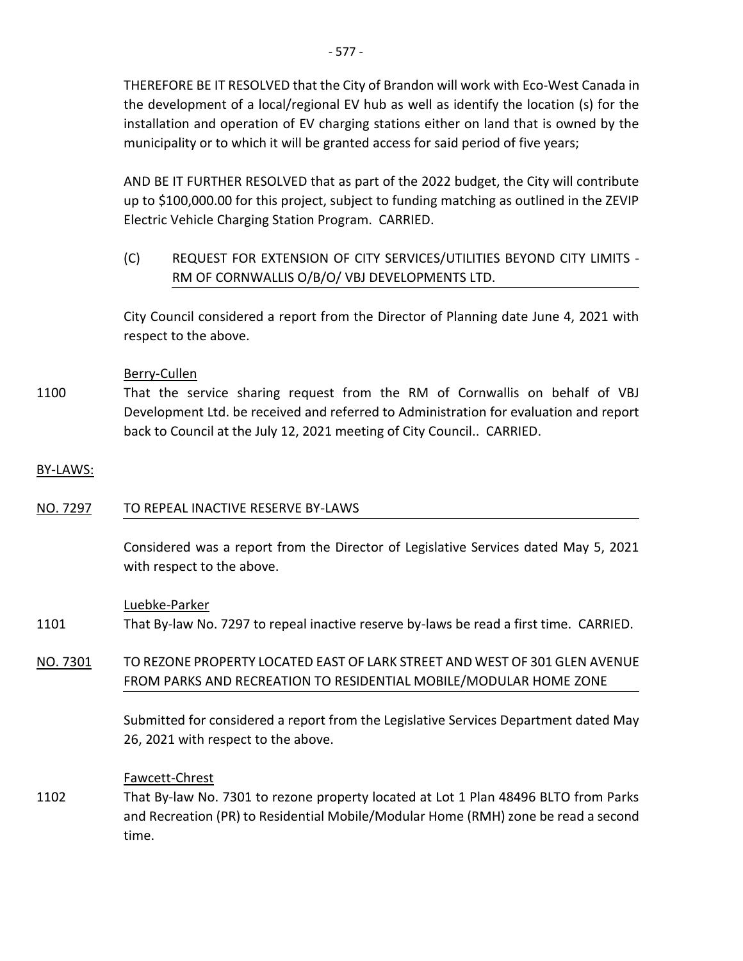- 577 -

the development of a local/regional EV hub as well as identify the location (s) for the installation and operation of EV charging stations either on land that is owned by the municipality or to which it will be granted access for said period of five years;

AND BE IT FURTHER RESOLVED that as part of the 2022 budget, the City will contribute up to \$100,000.00 for this project, subject to funding matching as outlined in the ZEVIP Electric Vehicle Charging Station Program. CARRIED.

(C) REQUEST FOR EXTENSION OF CITY SERVICES/UTILITIES BEYOND CITY LIMITS - RM OF CORNWALLIS O/B/O/ VBJ DEVELOPMENTS LTD.

City Council considered a report from the Director of Planning date June 4, 2021 with respect to the above.

# Berry-Cullen

1100 That the service sharing request from the RM of Cornwallis on behalf of VBJ Development Ltd. be received and referred to Administration for evaluation and report back to Council at the July 12, 2021 meeting of City Council.. CARRIED.

# BY-LAWS:

# NO. 7297 TO REPEAL INACTIVE RESERVE BY-LAWS

Considered was a report from the Director of Legislative Services dated May 5, 2021 with respect to the above.

# Luebke-Parker

- 1101 That By-law No. 7297 to repeal inactive reserve by-laws be read a first time. CARRIED.
- NO. 7301 TO REZONE PROPERTY LOCATED EAST OF LARK STREET AND WEST OF 301 GLEN AVENUE FROM PARKS AND RECREATION TO RESIDENTIAL MOBILE/MODULAR HOME ZONE

Submitted for considered a report from the Legislative Services Department dated May 26, 2021 with respect to the above.

## Fawcett-Chrest

1102 That By-law No. 7301 to rezone property located at Lot 1 Plan 48496 BLTO from Parks and Recreation (PR) to Residential Mobile/Modular Home (RMH) zone be read a second time.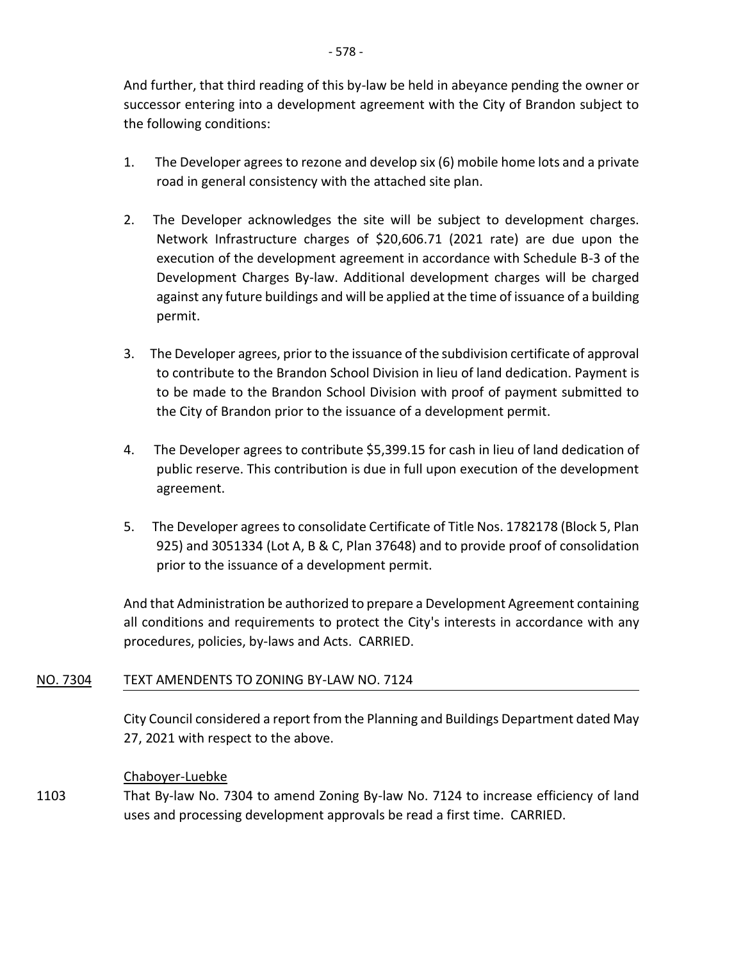And further, that third reading of this by-law be held in abeyance pending the owner or successor entering into a development agreement with the City of Brandon subject to the following conditions:

- 1. The Developer agrees to rezone and develop six (6) mobile home lots and a private road in general consistency with the attached site plan.
- 2. The Developer acknowledges the site will be subject to development charges. Network Infrastructure charges of \$20,606.71 (2021 rate) are due upon the execution of the development agreement in accordance with Schedule B-3 of the Development Charges By-law. Additional development charges will be charged against any future buildings and will be applied at the time of issuance of a building permit.
- 3. The Developer agrees, prior to the issuance of the subdivision certificate of approval to contribute to the Brandon School Division in lieu of land dedication. Payment is to be made to the Brandon School Division with proof of payment submitted to the City of Brandon prior to the issuance of a development permit.
- 4. The Developer agrees to contribute \$5,399.15 for cash in lieu of land dedication of public reserve. This contribution is due in full upon execution of the development agreement.
- 5. The Developer agrees to consolidate Certificate of Title Nos. 1782178 (Block 5, Plan 925) and 3051334 (Lot A, B & C, Plan 37648) and to provide proof of consolidation prior to the issuance of a development permit.

And that Administration be authorized to prepare a Development Agreement containing all conditions and requirements to protect the City's interests in accordance with any procedures, policies, by-laws and Acts. CARRIED.

# NO. 7304 TEXT AMENDENTS TO ZONING BY-LAW NO. 7124

City Council considered a report from the Planning and Buildings Department dated May 27, 2021 with respect to the above.

# Chaboyer-Luebke

1103 That By-law No. 7304 to amend Zoning By-law No. 7124 to increase efficiency of land uses and processing development approvals be read a first time. CARRIED.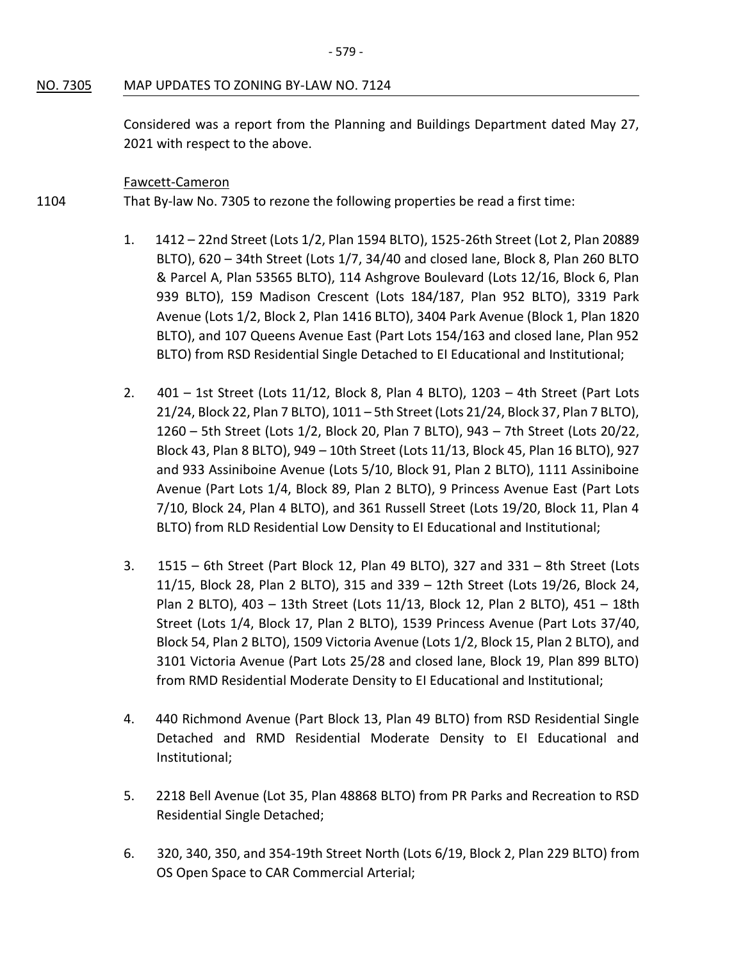#### NO. 7305 MAP UPDATES TO ZONING BY-LAW NO. 7124

Considered was a report from the Planning and Buildings Department dated May 27, 2021 with respect to the above.

#### Fawcett-Cameron

1104 That By-law No. 7305 to rezone the following properties be read a first time:

- 1. 1412 22nd Street (Lots 1/2, Plan 1594 BLTO), 1525-26th Street (Lot 2, Plan 20889 BLTO), 620 – 34th Street (Lots 1/7, 34/40 and closed lane, Block 8, Plan 260 BLTO & Parcel A, Plan 53565 BLTO), 114 Ashgrove Boulevard (Lots 12/16, Block 6, Plan 939 BLTO), 159 Madison Crescent (Lots 184/187, Plan 952 BLTO), 3319 Park Avenue (Lots 1/2, Block 2, Plan 1416 BLTO), 3404 Park Avenue (Block 1, Plan 1820 BLTO), and 107 Queens Avenue East (Part Lots 154/163 and closed lane, Plan 952 BLTO) from RSD Residential Single Detached to EI Educational and Institutional;
- 2. 401 1st Street (Lots 11/12, Block 8, Plan 4 BLTO), 1203 4th Street (Part Lots 21/24, Block 22, Plan 7 BLTO), 1011 – 5th Street (Lots 21/24, Block 37, Plan 7 BLTO), 1260 – 5th Street (Lots 1/2, Block 20, Plan 7 BLTO), 943 – 7th Street (Lots 20/22, Block 43, Plan 8 BLTO), 949 – 10th Street (Lots 11/13, Block 45, Plan 16 BLTO), 927 and 933 Assiniboine Avenue (Lots 5/10, Block 91, Plan 2 BLTO), 1111 Assiniboine Avenue (Part Lots 1/4, Block 89, Plan 2 BLTO), 9 Princess Avenue East (Part Lots 7/10, Block 24, Plan 4 BLTO), and 361 Russell Street (Lots 19/20, Block 11, Plan 4 BLTO) from RLD Residential Low Density to EI Educational and Institutional;
- 3. 1515 6th Street (Part Block 12, Plan 49 BLTO), 327 and 331 8th Street (Lots 11/15, Block 28, Plan 2 BLTO), 315 and 339 – 12th Street (Lots 19/26, Block 24, Plan 2 BLTO), 403 – 13th Street (Lots 11/13, Block 12, Plan 2 BLTO), 451 – 18th Street (Lots 1/4, Block 17, Plan 2 BLTO), 1539 Princess Avenue (Part Lots 37/40, Block 54, Plan 2 BLTO), 1509 Victoria Avenue (Lots 1/2, Block 15, Plan 2 BLTO), and 3101 Victoria Avenue (Part Lots 25/28 and closed lane, Block 19, Plan 899 BLTO) from RMD Residential Moderate Density to EI Educational and Institutional;
- 4. 440 Richmond Avenue (Part Block 13, Plan 49 BLTO) from RSD Residential Single Detached and RMD Residential Moderate Density to EI Educational and Institutional;
- 5. 2218 Bell Avenue (Lot 35, Plan 48868 BLTO) from PR Parks and Recreation to RSD Residential Single Detached;
- 6. 320, 340, 350, and 354-19th Street North (Lots 6/19, Block 2, Plan 229 BLTO) from OS Open Space to CAR Commercial Arterial;